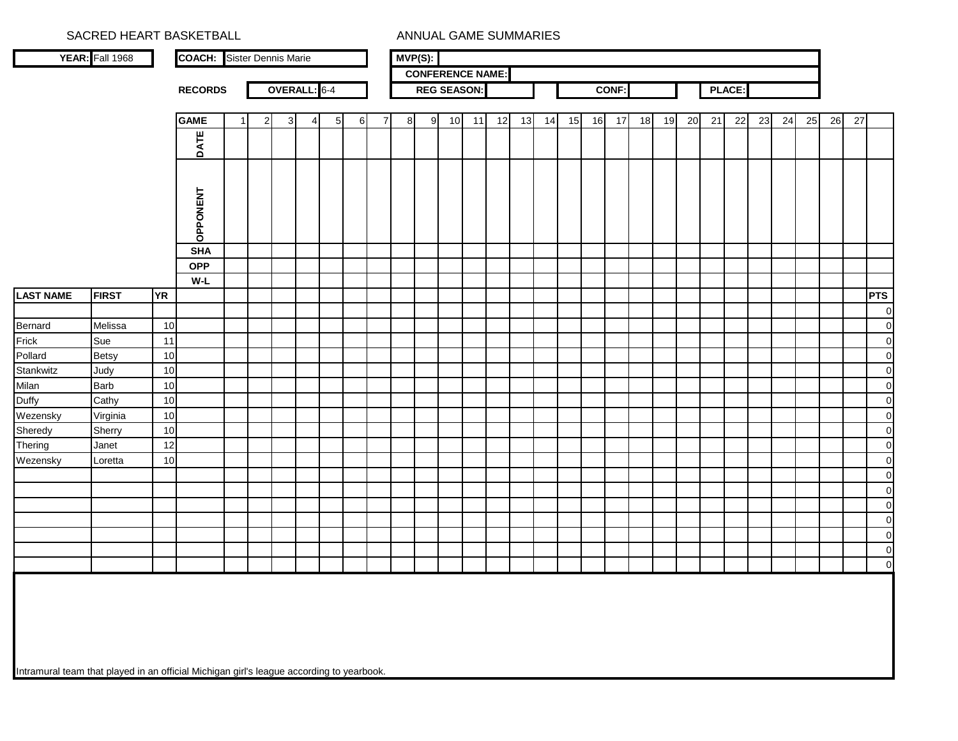|                  | SACRED HEART BASKETBALL |           |                                   |              |              |   |                 |   |   |   |            |                         | ANNUAL GAME SUMMARIES |    |    |    |    |    |       |    |    |    |    |        |    |    |    |    |    |             |
|------------------|-------------------------|-----------|-----------------------------------|--------------|--------------|---|-----------------|---|---|---|------------|-------------------------|-----------------------|----|----|----|----|----|-------|----|----|----|----|--------|----|----|----|----|----|-------------|
|                  | YEAR: Fall 1968         |           | <b>COACH:</b> Sister Dennis Marie |              |              |   |                 |   |   |   | $MVP(S)$ : |                         |                       |    |    |    |    |    |       |    |    |    |    |        |    |    |    |    |    |             |
|                  |                         |           |                                   |              |              |   |                 |   |   |   |            | <b>CONFERENCE NAME:</b> |                       |    |    |    |    |    |       |    |    |    |    |        |    |    |    |    |    |             |
|                  |                         |           | <b>RECORDS</b>                    |              | OVERALL: 6-4 |   |                 |   |   |   |            | <b>REG SEASON:</b>      |                       |    |    |    |    |    | CONF: |    |    |    |    | PLACE: |    |    |    |    |    |             |
|                  |                         |           | <b>GAME</b>                       | $\mathbf{2}$ | $\mathbf{3}$ | 4 | $5\phantom{.0}$ | 6 | 7 | 8 | 9          | 10                      | 11                    | 12 | 13 | 14 | 15 | 16 | 17    | 18 | 19 | 20 | 21 | 22     | 23 | 24 | 25 | 26 | 27 |             |
|                  |                         |           | <b>DATE</b>                       |              |              |   |                 |   |   |   |            |                         |                       |    |    |    |    |    |       |    |    |    |    |        |    |    |    |    |    |             |
|                  |                         |           | <b>OPPONENT</b>                   |              |              |   |                 |   |   |   |            |                         |                       |    |    |    |    |    |       |    |    |    |    |        |    |    |    |    |    |             |
|                  |                         |           | <b>SHA</b><br><b>OPP</b>          |              |              |   |                 |   |   |   |            |                         |                       |    |    |    |    |    |       |    |    |    |    |        |    |    |    |    |    |             |
|                  |                         |           | W-L                               |              |              |   |                 |   |   |   |            |                         |                       |    |    |    |    |    |       |    |    |    |    |        |    |    |    |    |    |             |
| <b>LAST NAME</b> | <b>FIRST</b>            | <b>YR</b> |                                   |              |              |   |                 |   |   |   |            |                         |                       |    |    |    |    |    |       |    |    |    |    |        |    |    |    |    |    | <b>PTS</b>  |
|                  |                         |           |                                   |              |              |   |                 |   |   |   |            |                         |                       |    |    |    |    |    |       |    |    |    |    |        |    |    |    |    |    | $\mathbf 0$ |
| Bernard          | Melissa                 | 10        |                                   |              |              |   |                 |   |   |   |            |                         |                       |    |    |    |    |    |       |    |    |    |    |        |    |    |    |    |    | $\pmb{0}$   |
| Frick            | Sue                     | 11        |                                   |              |              |   |                 |   |   |   |            |                         |                       |    |    |    |    |    |       |    |    |    |    |        |    |    |    |    |    | $\mathbf 0$ |
| Pollard          | <b>Betsy</b>            | 10        |                                   |              |              |   |                 |   |   |   |            |                         |                       |    |    |    |    |    |       |    |    |    |    |        |    |    |    |    |    | $\mathbf 0$ |
| Stankwitz        | Judy                    | 10        |                                   |              |              |   |                 |   |   |   |            |                         |                       |    |    |    |    |    |       |    |    |    |    |        |    |    |    |    |    | $\mathbf 0$ |
| Milan            | <b>Barb</b>             | 10        |                                   |              |              |   |                 |   |   |   |            |                         |                       |    |    |    |    |    |       |    |    |    |    |        |    |    |    |    |    | $\pmb{0}$   |
| Duffy            | Cathy                   | 10        |                                   |              |              |   |                 |   |   |   |            |                         |                       |    |    |    |    |    |       |    |    |    |    |        |    |    |    |    |    | $\pmb{0}$   |
| Wezensky         | Virginia                | 10        |                                   |              |              |   |                 |   |   |   |            |                         |                       |    |    |    |    |    |       |    |    |    |    |        |    |    |    |    |    | $\pmb{0}$   |
| Sheredy          | Sherry                  | 10        |                                   |              |              |   |                 |   |   |   |            |                         |                       |    |    |    |    |    |       |    |    |    |    |        |    |    |    |    |    | $\pmb{0}$   |
| Thering          | Janet                   | 12        |                                   |              |              |   |                 |   |   |   |            |                         |                       |    |    |    |    |    |       |    |    |    |    |        |    |    |    |    |    | $\pmb{0}$   |
| Wezensky         | Loretta                 | 10        |                                   |              |              |   |                 |   |   |   |            |                         |                       |    |    |    |    |    |       |    |    |    |    |        |    |    |    |    |    | $\mathbf 0$ |
|                  |                         |           |                                   |              |              |   |                 |   |   |   |            |                         |                       |    |    |    |    |    |       |    |    |    |    |        |    |    |    |    |    | $\mathbf 0$ |
|                  |                         |           |                                   |              |              |   |                 |   |   |   |            |                         |                       |    |    |    |    |    |       |    |    |    |    |        |    |    |    |    |    | $\mathbf 0$ |
|                  |                         |           |                                   |              |              |   |                 |   |   |   |            |                         |                       |    |    |    |    |    |       |    |    |    |    |        |    |    |    |    |    | $\pmb{0}$   |
|                  |                         |           |                                   |              |              |   |                 |   |   |   |            |                         |                       |    |    |    |    |    |       |    |    |    |    |        |    |    |    |    |    | $\mathbf 0$ |
|                  |                         |           |                                   |              |              |   |                 |   |   |   |            |                         |                       |    |    |    |    |    |       |    |    |    |    |        |    |    |    |    |    | $\mathbf 0$ |
|                  |                         |           |                                   |              |              |   |                 |   |   |   |            |                         |                       |    |    |    |    |    |       |    |    |    |    |        |    |    |    |    |    | $\pmb{0}$   |
|                  |                         |           |                                   |              |              |   |                 |   |   |   |            |                         |                       |    |    |    |    |    |       |    |    |    |    |        |    |    |    |    |    | $\mathbf 0$ |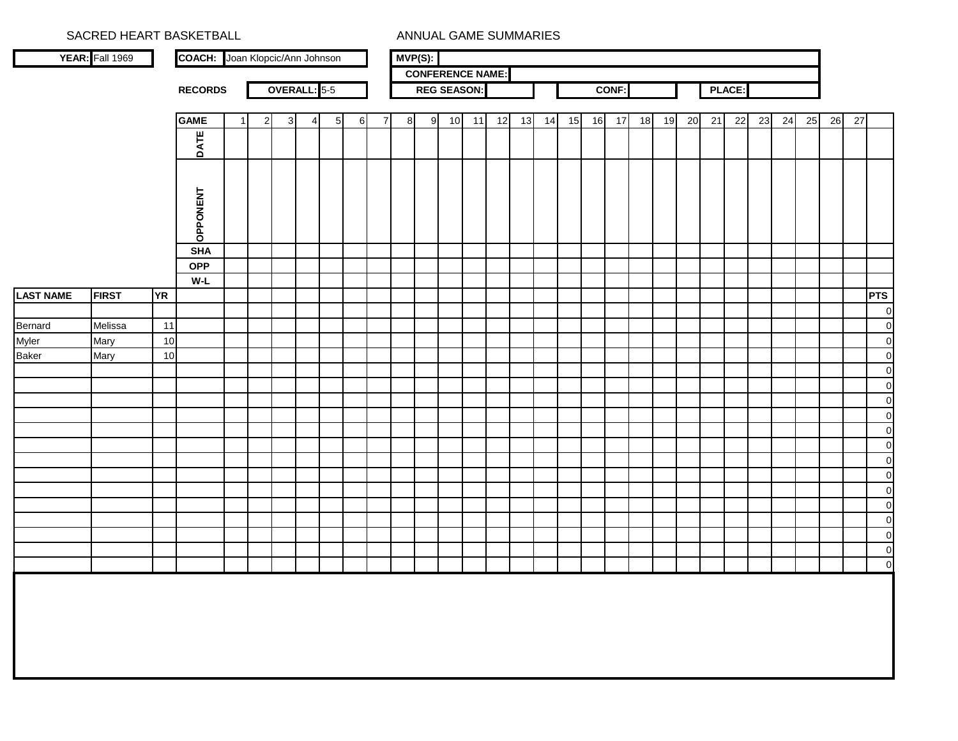|                  | SACRED HEART BASKETBALL |           |                                        |   |              |              |                     |                |   |   |   |                  |                         |    |    | ANNUAL GAME SUMMARIES |    |    |    |              |    |    |    |      |        |    |    |    |    |    |                                  |
|------------------|-------------------------|-----------|----------------------------------------|---|--------------|--------------|---------------------|----------------|---|---|---|------------------|-------------------------|----|----|-----------------------|----|----|----|--------------|----|----|----|------|--------|----|----|----|----|----|----------------------------------|
|                  | YEAR: Fall 1969         |           | <b>COACH:</b> Joan Klopcic/Ann Johnson |   |              |              |                     |                |   |   |   | $MVP(S)$ :       |                         |    |    |                       |    |    |    |              |    |    |    |      |        |    |    |    |    |    |                                  |
|                  |                         |           |                                        |   |              |              |                     |                |   |   |   |                  | <b>CONFERENCE NAME:</b> |    |    |                       |    |    |    |              |    |    |    |      |        |    |    |    |    |    |                                  |
|                  |                         |           | <b>RECORDS</b>                         |   |              |              | <b>OVERALL: 5-5</b> |                |   |   |   |                  | <b>REG SEASON:</b>      |    |    |                       |    |    |    | <b>CONF:</b> |    |    |    |      | PLACE: |    |    |    |    |    |                                  |
|                  |                         |           | <b>GAME</b>                            | 1 | $\mathbf{2}$ | $\mathbf{3}$ | 4                   | 5 <sub>5</sub> | 6 | 7 | 8 | $\boldsymbol{9}$ | 10                      | 11 | 12 | 13                    | 14 | 15 | 16 | 17           | 18 | 19 | 20 | $21$ | 22     | 23 | 24 | 25 | 26 | 27 |                                  |
|                  |                         |           |                                        |   |              |              |                     |                |   |   |   |                  |                         |    |    |                       |    |    |    |              |    |    |    |      |        |    |    |    |    |    |                                  |
|                  |                         |           | DATE                                   |   |              |              |                     |                |   |   |   |                  |                         |    |    |                       |    |    |    |              |    |    |    |      |        |    |    |    |    |    |                                  |
|                  |                         |           | OPPONENT                               |   |              |              |                     |                |   |   |   |                  |                         |    |    |                       |    |    |    |              |    |    |    |      |        |    |    |    |    |    |                                  |
|                  |                         |           | <b>SHA</b>                             |   |              |              |                     |                |   |   |   |                  |                         |    |    |                       |    |    |    |              |    |    |    |      |        |    |    |    |    |    |                                  |
|                  |                         |           | <b>OPP</b>                             |   |              |              |                     |                |   |   |   |                  |                         |    |    |                       |    |    |    |              |    |    |    |      |        |    |    |    |    |    |                                  |
|                  |                         |           | W-L                                    |   |              |              |                     |                |   |   |   |                  |                         |    |    |                       |    |    |    |              |    |    |    |      |        |    |    |    |    |    |                                  |
| <b>LAST NAME</b> | <b>FIRST</b>            | <b>YR</b> |                                        |   |              |              |                     |                |   |   |   |                  |                         |    |    |                       |    |    |    |              |    |    |    |      |        |    |    |    |    |    | <b>PTS</b><br>$\overline{0}$     |
| Bernard          | Melissa                 | 11        |                                        |   |              |              |                     |                |   |   |   |                  |                         |    |    |                       |    |    |    |              |    |    |    |      |        |    |    |    |    |    | $\mathbf 0$                      |
| Myler            | Mary                    | 10        |                                        |   |              |              |                     |                |   |   |   |                  |                         |    |    |                       |    |    |    |              |    |    |    |      |        |    |    |    |    |    | $\mathbf 0$                      |
| Baker            | Mary                    | 10        |                                        |   |              |              |                     |                |   |   |   |                  |                         |    |    |                       |    |    |    |              |    |    |    |      |        |    |    |    |    |    | $\mathbf 0$                      |
|                  |                         |           |                                        |   |              |              |                     |                |   |   |   |                  |                         |    |    |                       |    |    |    |              |    |    |    |      |        |    |    |    |    |    | $\overline{0}$                   |
|                  |                         |           |                                        |   |              |              |                     |                |   |   |   |                  |                         |    |    |                       |    |    |    |              |    |    |    |      |        |    |    |    |    |    | $\overline{0}$                   |
|                  |                         |           |                                        |   |              |              |                     |                |   |   |   |                  |                         |    |    |                       |    |    |    |              |    |    |    |      |        |    |    |    |    |    | $\mathbf 0$                      |
|                  |                         |           |                                        |   |              |              |                     |                |   |   |   |                  |                         |    |    |                       |    |    |    |              |    |    |    |      |        |    |    |    |    |    | $\mathbf 0$                      |
|                  |                         |           |                                        |   |              |              |                     |                |   |   |   |                  |                         |    |    |                       |    |    |    |              |    |    |    |      |        |    |    |    |    |    | $\overline{0}$                   |
|                  |                         |           |                                        |   |              |              |                     |                |   |   |   |                  |                         |    |    |                       |    |    |    |              |    |    |    |      |        |    |    |    |    |    | $\mathbf 0$                      |
|                  |                         |           |                                        |   |              |              |                     |                |   |   |   |                  |                         |    |    |                       |    |    |    |              |    |    |    |      |        |    |    |    |    |    | $\mathbf 0$                      |
|                  |                         |           |                                        |   |              |              |                     |                |   |   |   |                  |                         |    |    |                       |    |    |    |              |    |    |    |      |        |    |    |    |    |    | $\mathbf 0$                      |
|                  |                         |           |                                        |   |              |              |                     |                |   |   |   |                  |                         |    |    |                       |    |    |    |              |    |    |    |      |        |    |    |    |    |    | $\mathbf 0$                      |
|                  |                         |           |                                        |   |              |              |                     |                |   |   |   |                  |                         |    |    |                       |    |    |    |              |    |    |    |      |        |    |    |    |    |    | $\overline{0}$<br>$\overline{0}$ |
|                  |                         |           |                                        |   |              |              |                     |                |   |   |   |                  |                         |    |    |                       |    |    |    |              |    |    |    |      |        |    |    |    |    |    | $\mathbf 0$                      |
|                  |                         |           |                                        |   |              |              |                     |                |   |   |   |                  |                         |    |    |                       |    |    |    |              |    |    |    |      |        |    |    |    |    |    | $\overline{0}$                   |
|                  |                         |           |                                        |   |              |              |                     |                |   |   |   |                  |                         |    |    |                       |    |    |    |              |    |    |    |      |        |    |    |    |    |    | $\overline{0}$                   |
|                  |                         |           |                                        |   |              |              |                     |                |   |   |   |                  |                         |    |    |                       |    |    |    |              |    |    |    |      |        |    |    |    |    |    |                                  |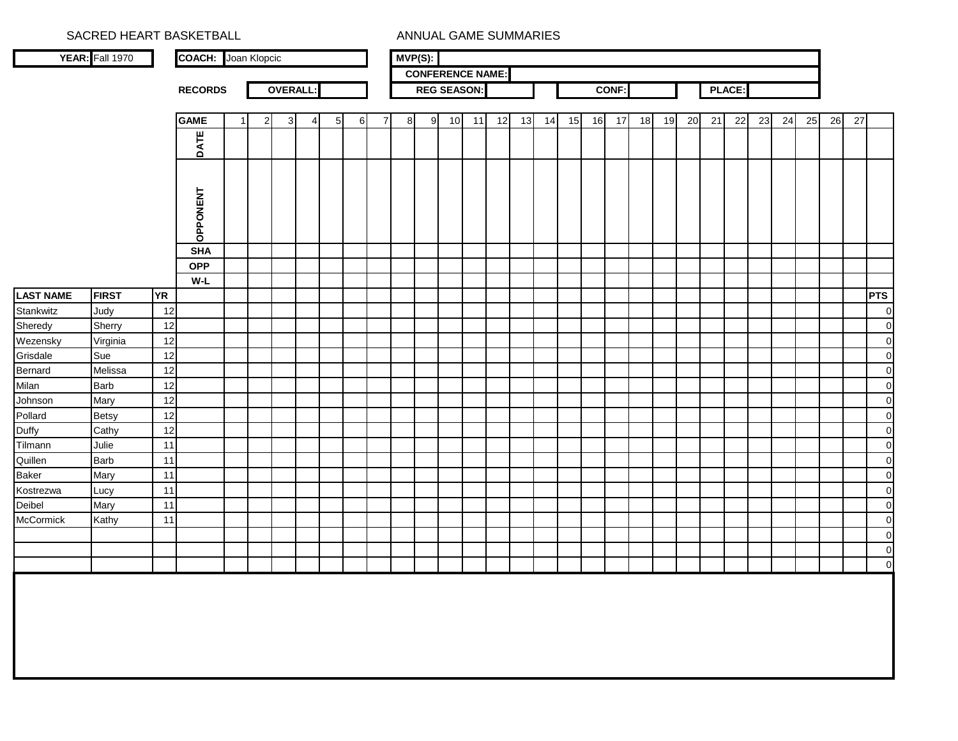|                  | SACRED HEART BASKETBALL |           |                            |   |                |   |                 |          |                |   |            |                    |    | ANNUAL GAME SUMMARIES   |    |    |    |    |       |    |    |    |    |               |    |    |    |    |    |                          |
|------------------|-------------------------|-----------|----------------------------|---|----------------|---|-----------------|----------|----------------|---|------------|--------------------|----|-------------------------|----|----|----|----|-------|----|----|----|----|---------------|----|----|----|----|----|--------------------------|
|                  | YEAR: Fall 1970         |           | <b>COACH:</b> Joan Klopcic |   |                |   |                 |          |                |   | $MVP(S)$ : |                    |    |                         |    |    |    |    |       |    |    |    |    |               |    |    |    |    |    |                          |
|                  |                         |           |                            |   |                |   |                 |          |                |   |            |                    |    | <b>CONFERENCE NAME:</b> |    |    |    |    |       |    |    |    |    |               |    |    |    |    |    |                          |
|                  |                         |           | <b>RECORDS</b>             |   | <b>OVERALL</b> |   |                 |          |                |   |            | <b>REG SEASON:</b> |    |                         |    |    |    |    | CONF: |    |    |    |    | <b>PLACE:</b> |    |    |    |    |    |                          |
|                  |                         |           |                            |   |                |   |                 |          |                |   |            |                    |    |                         |    |    |    |    |       |    |    |    |    |               |    |    |    |    |    |                          |
|                  |                         |           | <b>GAME</b>                | 2 | 3              | 4 | $5\overline{)}$ | $6 \mid$ | $\overline{7}$ | 8 | 9          | 10                 | 11 | 12                      | 13 | 14 | 15 | 16 | 17    | 18 | 19 | 20 | 21 | 22            | 23 | 24 | 25 | 26 | 27 |                          |
|                  |                         |           |                            |   |                |   |                 |          |                |   |            |                    |    |                         |    |    |    |    |       |    |    |    |    |               |    |    |    |    |    |                          |
|                  |                         |           | DATE                       |   |                |   |                 |          |                |   |            |                    |    |                         |    |    |    |    |       |    |    |    |    |               |    |    |    |    |    |                          |
|                  |                         |           |                            |   |                |   |                 |          |                |   |            |                    |    |                         |    |    |    |    |       |    |    |    |    |               |    |    |    |    |    |                          |
|                  |                         |           | OPPONENT                   |   |                |   |                 |          |                |   |            |                    |    |                         |    |    |    |    |       |    |    |    |    |               |    |    |    |    |    |                          |
|                  |                         |           | <b>SHA</b>                 |   |                |   |                 |          |                |   |            |                    |    |                         |    |    |    |    |       |    |    |    |    |               |    |    |    |    |    |                          |
|                  |                         |           | <b>OPP</b>                 |   |                |   |                 |          |                |   |            |                    |    |                         |    |    |    |    |       |    |    |    |    |               |    |    |    |    |    |                          |
|                  |                         |           | W-L                        |   |                |   |                 |          |                |   |            |                    |    |                         |    |    |    |    |       |    |    |    |    |               |    |    |    |    |    |                          |
| <b>LAST NAME</b> | <b>FIRST</b>            | <b>YR</b> |                            |   |                |   |                 |          |                |   |            |                    |    |                         |    |    |    |    |       |    |    |    |    |               |    |    |    |    |    | <b>PTS</b>               |
| Stankwitz        | Judy                    | 12        |                            |   |                |   |                 |          |                |   |            |                    |    |                         |    |    |    |    |       |    |    |    |    |               |    |    |    |    |    | 0                        |
| Sheredy          | Sherry                  | 12        |                            |   |                |   |                 |          |                |   |            |                    |    |                         |    |    |    |    |       |    |    |    |    |               |    |    |    |    |    | $\pmb{0}$                |
| Wezensky         | Virginia                | 12        |                            |   |                |   |                 |          |                |   |            |                    |    |                         |    |    |    |    |       |    |    |    |    |               |    |    |    |    |    | $\mathbf 0$              |
| Grisdale         | Sue                     | 12        |                            |   |                |   |                 |          |                |   |            |                    |    |                         |    |    |    |    |       |    |    |    |    |               |    |    |    |    |    | $\mathbf 0$              |
| <b>Bernard</b>   | Melissa                 | 12        |                            |   |                |   |                 |          |                |   |            |                    |    |                         |    |    |    |    |       |    |    |    |    |               |    |    |    |    |    | $\mathbf 0$              |
| Milan            | <b>Barb</b>             | 12        |                            |   |                |   |                 |          |                |   |            |                    |    |                         |    |    |    |    |       |    |    |    |    |               |    |    |    |    |    | $\pmb{0}$                |
| Johnson          | Mary                    | 12        |                            |   |                |   |                 |          |                |   |            |                    |    |                         |    |    |    |    |       |    |    |    |    |               |    |    |    |    |    | $\mathbf 0$              |
| Pollard          | <b>Betsy</b>            | 12        |                            |   |                |   |                 |          |                |   |            |                    |    |                         |    |    |    |    |       |    |    |    |    |               |    |    |    |    |    | $\pmb{0}$                |
| Duffy            | Cathy                   | 12        |                            |   |                |   |                 |          |                |   |            |                    |    |                         |    |    |    |    |       |    |    |    |    |               |    |    |    |    |    | $\pmb{0}$                |
| Tilmann          | Julie                   | 11        |                            |   |                |   |                 |          |                |   |            |                    |    |                         |    |    |    |    |       |    |    |    |    |               |    |    |    |    |    | $\pmb{0}$                |
| Quillen          | <b>Barb</b>             | 11        |                            |   |                |   |                 |          |                |   |            |                    |    |                         |    |    |    |    |       |    |    |    |    |               |    |    |    |    |    | $\mathbf 0$              |
| <b>Baker</b>     | Mary                    | 11        |                            |   |                |   |                 |          |                |   |            |                    |    |                         |    |    |    |    |       |    |    |    |    |               |    |    |    |    |    | $\mathbf 0$              |
| Kostrezwa        | Lucy                    | 11        |                            |   |                |   |                 |          |                |   |            |                    |    |                         |    |    |    |    |       |    |    |    |    |               |    |    |    |    |    | $\pmb{0}$                |
| Deibel           | Mary                    | 11        |                            |   |                |   |                 |          |                |   |            |                    |    |                         |    |    |    |    |       |    |    |    |    |               |    |    |    |    |    | $\pmb{0}$                |
| McCormick        | Kathy                   | 11        |                            |   |                |   |                 |          |                |   |            |                    |    |                         |    |    |    |    |       |    |    |    |    |               |    |    |    |    |    | $\mathbf 0$              |
|                  |                         |           |                            |   |                |   |                 |          |                |   |            |                    |    |                         |    |    |    |    |       |    |    |    |    |               |    |    |    |    |    | $\mathbf 0$              |
|                  |                         |           |                            |   |                |   |                 |          |                |   |            |                    |    |                         |    |    |    |    |       |    |    |    |    |               |    |    |    |    |    | $\pmb{0}$<br>$\mathbf 0$ |
|                  |                         |           |                            |   |                |   |                 |          |                |   |            |                    |    |                         |    |    |    |    |       |    |    |    |    |               |    |    |    |    |    |                          |
|                  |                         |           |                            |   |                |   |                 |          |                |   |            |                    |    |                         |    |    |    |    |       |    |    |    |    |               |    |    |    |    |    |                          |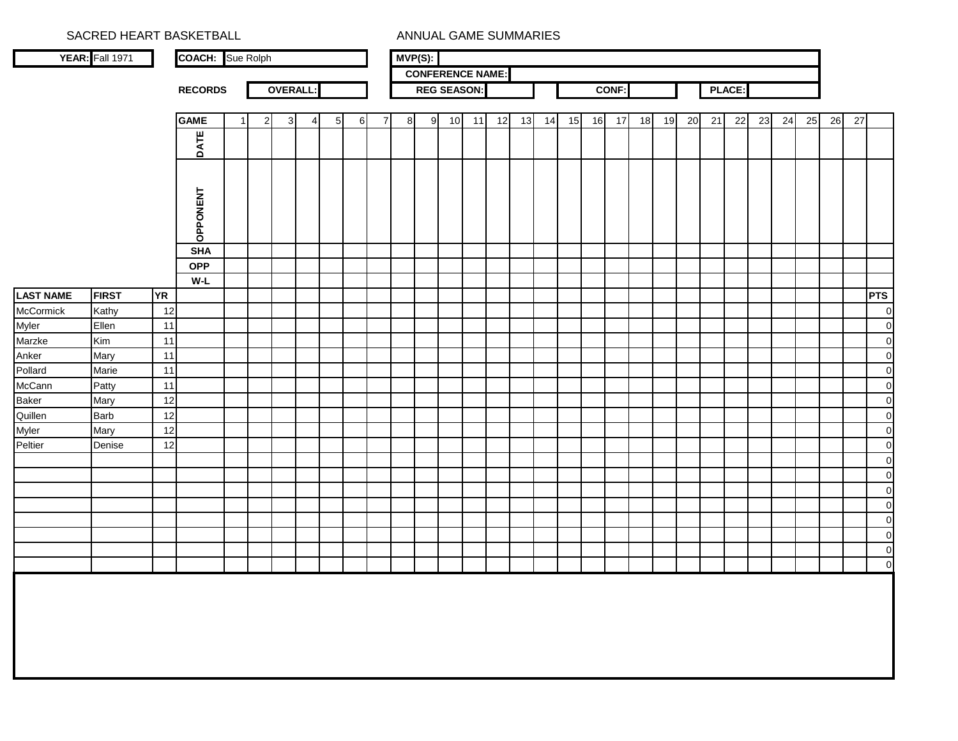|                               | SACRED HEART BASKETBALL |           |                         |    |              |                |   |          |          |                |   |            |    |                    | ANNUAL GAME SUMMARIES   |    |    |    |    |              |    |    |    |    |               |    |    |    |    |    |                               |
|-------------------------------|-------------------------|-----------|-------------------------|----|--------------|----------------|---|----------|----------|----------------|---|------------|----|--------------------|-------------------------|----|----|----|----|--------------|----|----|----|----|---------------|----|----|----|----|----|-------------------------------|
|                               | <b>YEAR:</b> Fall 1971  |           | <b>COACH:</b> Sue Rolph |    |              |                |   |          |          |                |   | $MVP(S)$ : |    |                    |                         |    |    |    |    |              |    |    |    |    |               |    |    |    |    |    |                               |
|                               |                         |           |                         |    |              |                |   |          |          |                |   |            |    |                    | <b>CONFERENCE NAME:</b> |    |    |    |    |              |    |    |    |    |               |    |    |    |    |    |                               |
|                               |                         |           | <b>RECORDS</b>          |    |              | <b>OVERALL</b> |   |          |          |                |   |            |    | <b>REG SEASON:</b> |                         |    |    |    |    | <b>CONF:</b> |    |    |    |    | <b>PLACE:</b> |    |    |    |    |    |                               |
|                               |                         |           | <b>GAME</b>             | -1 | $\mathbf{2}$ | $3 \mid$       | 4 | $5 \mid$ | $6 \mid$ | $\overline{7}$ | 8 | 9          | 10 | 11                 | 12                      | 13 | 14 | 15 | 16 | 17           | 18 | 19 | 20 | 21 | 22            | 23 | 24 | 25 | 26 | 27 |                               |
|                               |                         |           |                         |    |              |                |   |          |          |                |   |            |    |                    |                         |    |    |    |    |              |    |    |    |    |               |    |    |    |    |    |                               |
|                               |                         |           | DATE                    |    |              |                |   |          |          |                |   |            |    |                    |                         |    |    |    |    |              |    |    |    |    |               |    |    |    |    |    |                               |
|                               |                         |           | <b>OPPONENT</b>         |    |              |                |   |          |          |                |   |            |    |                    |                         |    |    |    |    |              |    |    |    |    |               |    |    |    |    |    |                               |
|                               |                         |           | <b>SHA</b>              |    |              |                |   |          |          |                |   |            |    |                    |                         |    |    |    |    |              |    |    |    |    |               |    |    |    |    |    |                               |
|                               |                         |           | <b>OPP</b>              |    |              |                |   |          |          |                |   |            |    |                    |                         |    |    |    |    |              |    |    |    |    |               |    |    |    |    |    |                               |
|                               |                         |           | $W-L$                   |    |              |                |   |          |          |                |   |            |    |                    |                         |    |    |    |    |              |    |    |    |    |               |    |    |    |    |    |                               |
| <b>LAST NAME</b><br>McCormick | <b>FIRST</b>            | <b>YR</b> |                         |    |              |                |   |          |          |                |   |            |    |                    |                         |    |    |    |    |              |    |    |    |    |               |    |    |    |    |    | <b>PTS</b>                    |
|                               | Kathy                   | 12        |                         |    |              |                |   |          |          |                |   |            |    |                    |                         |    |    |    |    |              |    |    |    |    |               |    |    |    |    |    | $\overline{0}$                |
| Myler                         | Ellen                   | 11        |                         |    |              |                |   |          |          |                |   |            |    |                    |                         |    |    |    |    |              |    |    |    |    |               |    |    |    |    |    | $\overline{0}$                |
| Marzke                        | Kim                     | 11<br>11  |                         |    |              |                |   |          |          |                |   |            |    |                    |                         |    |    |    |    |              |    |    |    |    |               |    |    |    |    |    | $\mathbf 0$                   |
| Anker<br>Pollard              | Mary<br>Marie           | 11        |                         |    |              |                |   |          |          |                |   |            |    |                    |                         |    |    |    |    |              |    |    |    |    |               |    |    |    |    |    | $\mathbf 0$<br>$\overline{0}$ |
| McCann                        | Patty                   | 11        |                         |    |              |                |   |          |          |                |   |            |    |                    |                         |    |    |    |    |              |    |    |    |    |               |    |    |    |    |    | $\overline{0}$                |
| Baker                         | Mary                    | 12        |                         |    |              |                |   |          |          |                |   |            |    |                    |                         |    |    |    |    |              |    |    |    |    |               |    |    |    |    |    | $\overline{0}$                |
| Quillen                       | <b>Barb</b>             | 12        |                         |    |              |                |   |          |          |                |   |            |    |                    |                         |    |    |    |    |              |    |    |    |    |               |    |    |    |    |    | $\mathbf 0$                   |
| Myler                         | Mary                    | 12        |                         |    |              |                |   |          |          |                |   |            |    |                    |                         |    |    |    |    |              |    |    |    |    |               |    |    |    |    |    | $\overline{0}$                |
| Peltier                       | Denise                  | 12        |                         |    |              |                |   |          |          |                |   |            |    |                    |                         |    |    |    |    |              |    |    |    |    |               |    |    |    |    |    | $\overline{0}$                |
|                               |                         |           |                         |    |              |                |   |          |          |                |   |            |    |                    |                         |    |    |    |    |              |    |    |    |    |               |    |    |    |    |    | $\overline{0}$                |
|                               |                         |           |                         |    |              |                |   |          |          |                |   |            |    |                    |                         |    |    |    |    |              |    |    |    |    |               |    |    |    |    |    | $\overline{0}$                |
|                               |                         |           |                         |    |              |                |   |          |          |                |   |            |    |                    |                         |    |    |    |    |              |    |    |    |    |               |    |    |    |    |    | $\overline{0}$                |
|                               |                         |           |                         |    |              |                |   |          |          |                |   |            |    |                    |                         |    |    |    |    |              |    |    |    |    |               |    |    |    |    |    | $\overline{0}$                |
|                               |                         |           |                         |    |              |                |   |          |          |                |   |            |    |                    |                         |    |    |    |    |              |    |    |    |    |               |    |    |    |    |    | $\overline{0}$                |
|                               |                         |           |                         |    |              |                |   |          |          |                |   |            |    |                    |                         |    |    |    |    |              |    |    |    |    |               |    |    |    |    |    | $\mathbf 0$                   |
|                               |                         |           |                         |    |              |                |   |          |          |                |   |            |    |                    |                         |    |    |    |    |              |    |    |    |    |               |    |    |    |    |    | $\mathbf 0$                   |
|                               |                         |           |                         |    |              |                |   |          |          |                |   |            |    |                    |                         |    |    |    |    |              |    |    |    |    |               |    |    |    |    |    | $\overline{O}$                |
|                               |                         |           |                         |    |              |                |   |          |          |                |   |            |    |                    |                         |    |    |    |    |              |    |    |    |    |               |    |    |    |    |    |                               |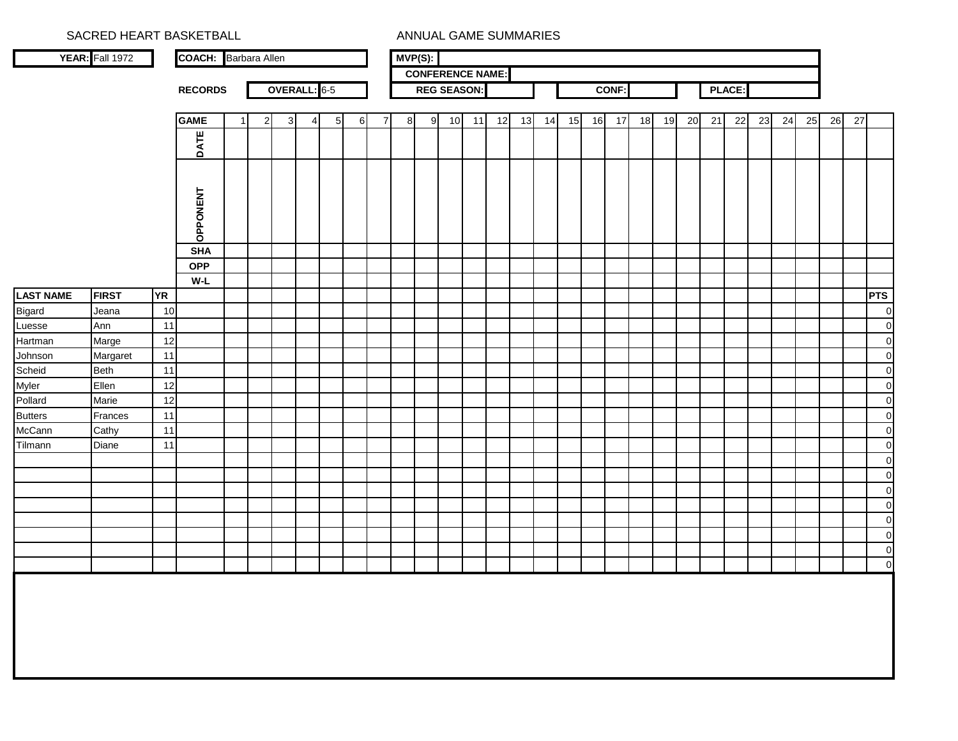|                          | SACRED HEART BASKETBALL |           |                             |    |              |              |                |                 |   |                |   |            |                         |    | ANNUAL GAME SUMMARIES |    |    |    |    |       |    |    |    |    |               |    |    |    |    |    |                                  |
|--------------------------|-------------------------|-----------|-----------------------------|----|--------------|--------------|----------------|-----------------|---|----------------|---|------------|-------------------------|----|-----------------------|----|----|----|----|-------|----|----|----|----|---------------|----|----|----|----|----|----------------------------------|
|                          | YEAR: Fall 1972         |           | <b>COACH:</b> Barbara Allen |    |              |              |                |                 |   |                |   | $MVP(S)$ : |                         |    |                       |    |    |    |    |       |    |    |    |    |               |    |    |    |    |    |                                  |
|                          |                         |           |                             |    |              |              |                |                 |   |                |   |            | <b>CONFERENCE NAME:</b> |    |                       |    |    |    |    |       |    |    |    |    |               |    |    |    |    |    |                                  |
|                          |                         |           | <b>RECORDS</b>              |    |              | OVERALL: 6-5 |                |                 |   |                |   |            | <b>REG SEASON:</b>      |    |                       |    |    |    |    | CONF: |    |    |    |    | <b>PLACE:</b> |    |    |    |    |    |                                  |
|                          |                         |           | <b>GAME</b>                 | -1 | $\mathbf{2}$ | 3            | $\overline{4}$ | $5\overline{)}$ | 6 | $\overline{7}$ | 8 | 9          | 10                      | 11 | 12                    | 13 | 14 | 15 | 16 | 17    | 18 | 19 | 20 | 21 | 22            | 23 | 24 | 25 | 26 | 27 |                                  |
|                          |                         |           |                             |    |              |              |                |                 |   |                |   |            |                         |    |                       |    |    |    |    |       |    |    |    |    |               |    |    |    |    |    |                                  |
|                          |                         |           | DATE                        |    |              |              |                |                 |   |                |   |            |                         |    |                       |    |    |    |    |       |    |    |    |    |               |    |    |    |    |    |                                  |
|                          |                         |           | <b>OPPONENT</b>             |    |              |              |                |                 |   |                |   |            |                         |    |                       |    |    |    |    |       |    |    |    |    |               |    |    |    |    |    |                                  |
|                          |                         |           | <b>SHA</b>                  |    |              |              |                |                 |   |                |   |            |                         |    |                       |    |    |    |    |       |    |    |    |    |               |    |    |    |    |    |                                  |
|                          |                         |           | <b>OPP</b>                  |    |              |              |                |                 |   |                |   |            |                         |    |                       |    |    |    |    |       |    |    |    |    |               |    |    |    |    |    |                                  |
|                          |                         |           | $W-L$                       |    |              |              |                |                 |   |                |   |            |                         |    |                       |    |    |    |    |       |    |    |    |    |               |    |    |    |    |    |                                  |
| <b>LAST NAME</b>         | <b>FIRST</b>            | <b>YR</b> |                             |    |              |              |                |                 |   |                |   |            |                         |    |                       |    |    |    |    |       |    |    |    |    |               |    |    |    |    |    | <b>PTS</b>                       |
| Bigard                   | Jeana                   | 10        |                             |    |              |              |                |                 |   |                |   |            |                         |    |                       |    |    |    |    |       |    |    |    |    |               |    |    |    |    |    | $\mathbf 0$                      |
| Luesse                   | Ann                     | 11        |                             |    |              |              |                |                 |   |                |   |            |                         |    |                       |    |    |    |    |       |    |    |    |    |               |    |    |    |    |    | $\overline{0}$                   |
| <b>Hartman</b>           | Marge                   | 12        |                             |    |              |              |                |                 |   |                |   |            |                         |    |                       |    |    |    |    |       |    |    |    |    |               |    |    |    |    |    | $\overline{0}$                   |
| Johnson                  | Margaret                | 11        |                             |    |              |              |                |                 |   |                |   |            |                         |    |                       |    |    |    |    |       |    |    |    |    |               |    |    |    |    |    | $\overline{0}$                   |
| Scheid                   | <b>Beth</b>             | 11        |                             |    |              |              |                |                 |   |                |   |            |                         |    |                       |    |    |    |    |       |    |    |    |    |               |    |    |    |    |    | $\overline{0}$                   |
| Myler                    | Ellen                   | 12        |                             |    |              |              |                |                 |   |                |   |            |                         |    |                       |    |    |    |    |       |    |    |    |    |               |    |    |    |    |    | $\overline{0}$                   |
| Pollard                  | Marie                   | 12        |                             |    |              |              |                |                 |   |                |   |            |                         |    |                       |    |    |    |    |       |    |    |    |    |               |    |    |    |    |    | $\overline{0}$                   |
| <b>Butters</b><br>McCann | Frances                 | 11        |                             |    |              |              |                |                 |   |                |   |            |                         |    |                       |    |    |    |    |       |    |    |    |    |               |    |    |    |    |    | $\overline{0}$<br>$\circ$        |
|                          | Cathy<br>Diane          | 11<br>11  |                             |    |              |              |                |                 |   |                |   |            |                         |    |                       |    |    |    |    |       |    |    |    |    |               |    |    |    |    |    | $\overline{0}$                   |
| Tilmann                  |                         |           |                             |    |              |              |                |                 |   |                |   |            |                         |    |                       |    |    |    |    |       |    |    |    |    |               |    |    |    |    |    |                                  |
|                          |                         |           |                             |    |              |              |                |                 |   |                |   |            |                         |    |                       |    |    |    |    |       |    |    |    |    |               |    |    |    |    |    | $\overline{0}$<br>$\overline{0}$ |
|                          |                         |           |                             |    |              |              |                |                 |   |                |   |            |                         |    |                       |    |    |    |    |       |    |    |    |    |               |    |    |    |    |    | $\overline{0}$                   |
|                          |                         |           |                             |    |              |              |                |                 |   |                |   |            |                         |    |                       |    |    |    |    |       |    |    |    |    |               |    |    |    |    |    | $\overline{0}$                   |
|                          |                         |           |                             |    |              |              |                |                 |   |                |   |            |                         |    |                       |    |    |    |    |       |    |    |    |    |               |    |    |    |    |    | $\overline{0}$                   |
|                          |                         |           |                             |    |              |              |                |                 |   |                |   |            |                         |    |                       |    |    |    |    |       |    |    |    |    |               |    |    |    |    |    | $\overline{0}$                   |
|                          |                         |           |                             |    |              |              |                |                 |   |                |   |            |                         |    |                       |    |    |    |    |       |    |    |    |    |               |    |    |    |    |    | $\circ$                          |
|                          |                         |           |                             |    |              |              |                |                 |   |                |   |            |                         |    |                       |    |    |    |    |       |    |    |    |    |               |    |    |    |    |    | $\overline{0}$                   |
|                          |                         |           |                             |    |              |              |                |                 |   |                |   |            |                         |    |                       |    |    |    |    |       |    |    |    |    |               |    |    |    |    |    |                                  |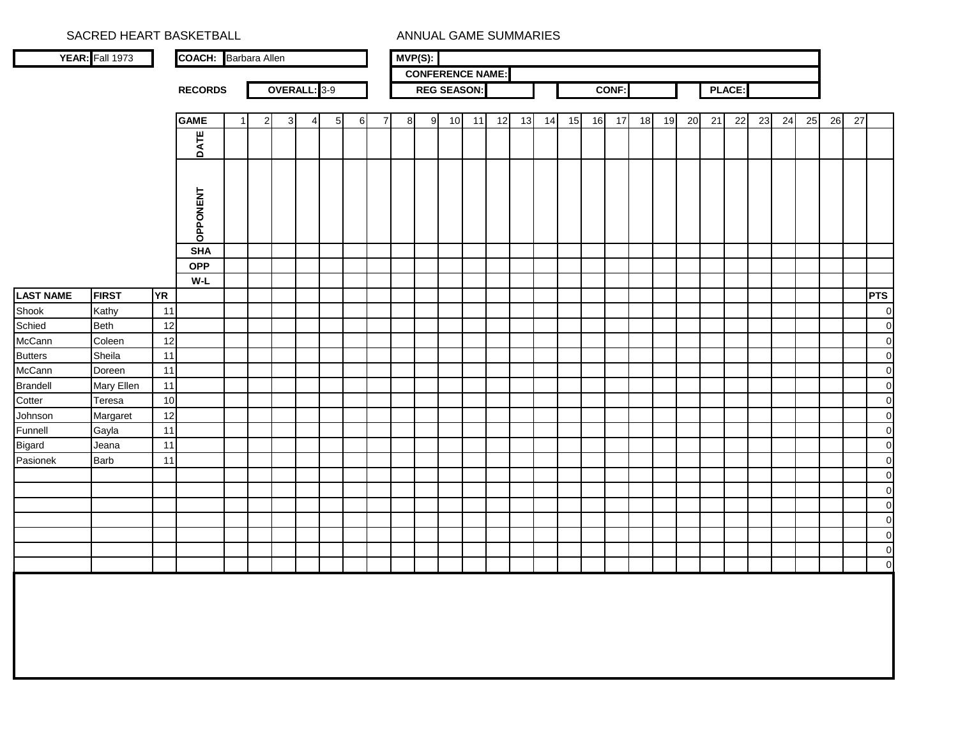|                          | SACRED HEART BASKETBALL |           |                             |              |              |   |          |          |                |   |            | ANNUAL GAME SUMMARIES   |    |    |    |    |    |    |              |    |    |    |    |        |    |    |    |    |    |                    |
|--------------------------|-------------------------|-----------|-----------------------------|--------------|--------------|---|----------|----------|----------------|---|------------|-------------------------|----|----|----|----|----|----|--------------|----|----|----|----|--------|----|----|----|----|----|--------------------|
|                          | YEAR: Fall 1973         |           | <b>COACH:</b> Barbara Allen |              |              |   |          |          |                |   | $MVP(S)$ : |                         |    |    |    |    |    |    |              |    |    |    |    |        |    |    |    |    |    |                    |
|                          |                         |           |                             |              |              |   |          |          |                |   |            | <b>CONFERENCE NAME:</b> |    |    |    |    |    |    |              |    |    |    |    |        |    |    |    |    |    |                    |
|                          |                         |           | <b>RECORDS</b>              |              | OVERALL: 3-9 |   |          |          |                |   |            | <b>REG SEASON:</b>      |    |    |    |    |    |    | <b>CONF:</b> |    |    |    |    | PLACE: |    |    |    |    |    |                    |
|                          |                         |           |                             |              |              |   |          |          |                |   |            |                         |    |    |    |    |    |    |              |    |    |    |    |        |    |    |    |    |    |                    |
|                          |                         |           | <b>GAME</b>                 | $\mathbf{2}$ | $3 \mid$     | 4 | $5 \mid$ | $6 \mid$ | $\overline{7}$ | 8 | 9          | 10                      | 11 | 12 | 13 | 14 | 15 | 16 | 17           | 18 | 19 | 20 | 21 | 22     | 23 | 24 | 25 | 26 | 27 |                    |
|                          |                         |           | DATE                        |              |              |   |          |          |                |   |            |                         |    |    |    |    |    |    |              |    |    |    |    |        |    |    |    |    |    |                    |
|                          |                         |           | OPPONENT                    |              |              |   |          |          |                |   |            |                         |    |    |    |    |    |    |              |    |    |    |    |        |    |    |    |    |    |                    |
|                          |                         |           | <b>SHA</b>                  |              |              |   |          |          |                |   |            |                         |    |    |    |    |    |    |              |    |    |    |    |        |    |    |    |    |    |                    |
|                          |                         |           | <b>OPP</b>                  |              |              |   |          |          |                |   |            |                         |    |    |    |    |    |    |              |    |    |    |    |        |    |    |    |    |    |                    |
|                          |                         |           | $W-L$                       |              |              |   |          |          |                |   |            |                         |    |    |    |    |    |    |              |    |    |    |    |        |    |    |    |    |    |                    |
| <b>LAST NAME</b>         | <b>FIRST</b>            | <b>YR</b> |                             |              |              |   |          |          |                |   |            |                         |    |    |    |    |    |    |              |    |    |    |    |        |    |    |    |    |    | <b>PTS</b>         |
| Shook                    | Kathy                   | 11        |                             |              |              |   |          |          |                |   |            |                         |    |    |    |    |    |    |              |    |    |    |    |        |    |    |    |    |    | $\overline{0}$     |
| Schied                   | <b>Beth</b>             | 12        |                             |              |              |   |          |          |                |   |            |                         |    |    |    |    |    |    |              |    |    |    |    |        |    |    |    |    |    | $\overline{0}$     |
| McCann                   | Coleen                  | 12        |                             |              |              |   |          |          |                |   |            |                         |    |    |    |    |    |    |              |    |    |    |    |        |    |    |    |    |    | $\overline{0}$     |
| <b>Butters</b><br>McCann | Sheila                  | 11        |                             |              |              |   |          |          |                |   |            |                         |    |    |    |    |    |    |              |    |    |    |    |        |    |    |    |    |    | $\circ$<br>$\circ$ |
| <b>Brandell</b>          | Doreen<br>Mary Ellen    | 11<br>11  |                             |              |              |   |          |          |                |   |            |                         |    |    |    |    |    |    |              |    |    |    |    |        |    |    |    |    |    | $\overline{0}$     |
| Cotter                   | Teresa                  | 10        |                             |              |              |   |          |          |                |   |            |                         |    |    |    |    |    |    |              |    |    |    |    |        |    |    |    |    |    | $\overline{0}$     |
| Johnson                  | Margaret                | 12        |                             |              |              |   |          |          |                |   |            |                         |    |    |    |    |    |    |              |    |    |    |    |        |    |    |    |    |    | $\overline{0}$     |
| Funnell                  | Gayla                   | 11        |                             |              |              |   |          |          |                |   |            |                         |    |    |    |    |    |    |              |    |    |    |    |        |    |    |    |    |    | $\overline{0}$     |
| <b>Bigard</b>            | Jeana                   | 11        |                             |              |              |   |          |          |                |   |            |                         |    |    |    |    |    |    |              |    |    |    |    |        |    |    |    |    |    | $\overline{0}$     |
| Pasionek                 | <b>Barb</b>             | 11        |                             |              |              |   |          |          |                |   |            |                         |    |    |    |    |    |    |              |    |    |    |    |        |    |    |    |    |    | $\overline{0}$     |
|                          |                         |           |                             |              |              |   |          |          |                |   |            |                         |    |    |    |    |    |    |              |    |    |    |    |        |    |    |    |    |    | $\overline{0}$     |
|                          |                         |           |                             |              |              |   |          |          |                |   |            |                         |    |    |    |    |    |    |              |    |    |    |    |        |    |    |    |    |    | $\overline{0}$     |
|                          |                         |           |                             |              |              |   |          |          |                |   |            |                         |    |    |    |    |    |    |              |    |    |    |    |        |    |    |    |    |    | $\overline{0}$     |
|                          |                         |           |                             |              |              |   |          |          |                |   |            |                         |    |    |    |    |    |    |              |    |    |    |    |        |    |    |    |    |    | $\overline{0}$     |
|                          |                         |           |                             |              |              |   |          |          |                |   |            |                         |    |    |    |    |    |    |              |    |    |    |    |        |    |    |    |    |    | $\overline{0}$     |
|                          |                         |           |                             |              |              |   |          |          |                |   |            |                         |    |    |    |    |    |    |              |    |    |    |    |        |    |    |    |    |    | $\circ$            |
|                          |                         |           |                             |              |              |   |          |          |                |   |            |                         |    |    |    |    |    |    |              |    |    |    |    |        |    |    |    |    |    | $\overline{0}$     |
|                          |                         |           |                             |              |              |   |          |          |                |   |            |                         |    |    |    |    |    |    |              |    |    |    |    |        |    |    |    |    |    |                    |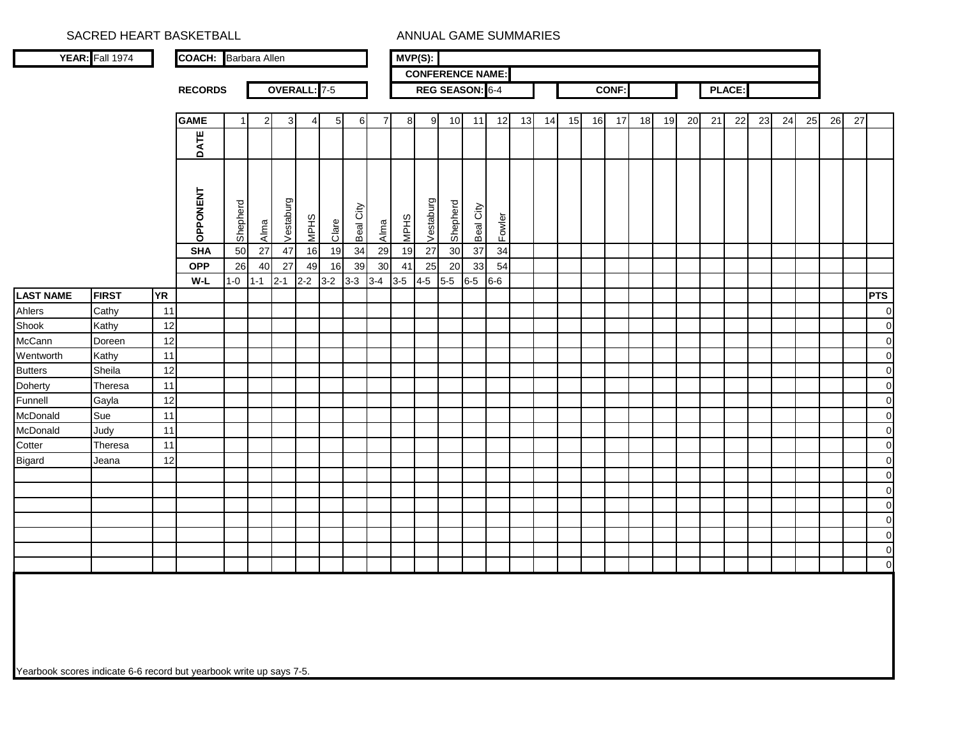SACRED HEART BASKETBALL ANNUAL GAME SUMMARIES **MVP(S):YEAR:** Fall 1974 **COACH:** Barbara Allen**CONFERENCE NAME:RECORDS**REG SEASON: 6-4 **CONF: PLACE:OVERALL:** 7-5**GAMEE** | 1| 2| 3| 4| 5| 6| 7| 8| 9| 10| 11| 12| 13| 14| 15| 16| 17| 18| 19| 20| 21| 22| 23| 24| 25| 26| 27 **DATE** OPPONENT **OPPONENT** Vestaburg Vestaburg **Shepherd Shepherd** Beal City Beal City MPHS MPHS Fowler Alma Clare Alma **SHA** <sup>50</sup> <sup>27</sup> <sup>47</sup> <sup>16</sup> <sup>19</sup> <sup>34</sup> <sup>29</sup> <sup>19</sup> <sup>27</sup> <sup>30</sup> <sup>37</sup> <sup>34</sup> **OPP** 26 40 27 49 16 39 30 41 25 20 33 54**W-L** $6-6$  1-0 1-1 2-1 2-2 3-2 3-3 3-4 3-5 4-5 5-5 6-5 6-6 **LAST NAME FIRST YR PTS** Ahlers Cathy 11 <sup>0</sup> Shook Kathy 12 <sup>0</sup> McCann Doreen 12 <u>2 | Johann | Johann | Johann | Johann | Johann | Johann | Johann | Johann | Johann | Johann | Johann | Johann </u> Wentworth Kathy | 11 <sup>0</sup> Butters Sheila 12 <u>2 | Johann | Johann | Johann | Johann | Johann | Johann | Johann | Johann | Johann | Johann | Johann | Johann </u> Doherty Theresa 11 <sup>0</sup> Funnell Gayla 12 <u>2 | Johann | Johann | Johann | Johann | Johann | Johann | Johann | Johann | Johann | Johann | Johann | Johann </u> McDonald Sue 11 <sup>0</sup> McDonald Judy 11 <sup>0</sup> Cotter Theresa 11 <sup>0</sup> Bigard Jeana 12 <u>2 | Johann | Johann | Johann | Johann | Johann | Johann | Johann | Johann | Johann | Johann | Johann | Johann </u> 0 $\overline{0}$  $\overline{0}$  $\overline{0}$  $\overline{0}$  $\overline{0}$  $\overline{0}$ 

Yearbook scores indicate 6-6 record but yearbook write up says 7-5.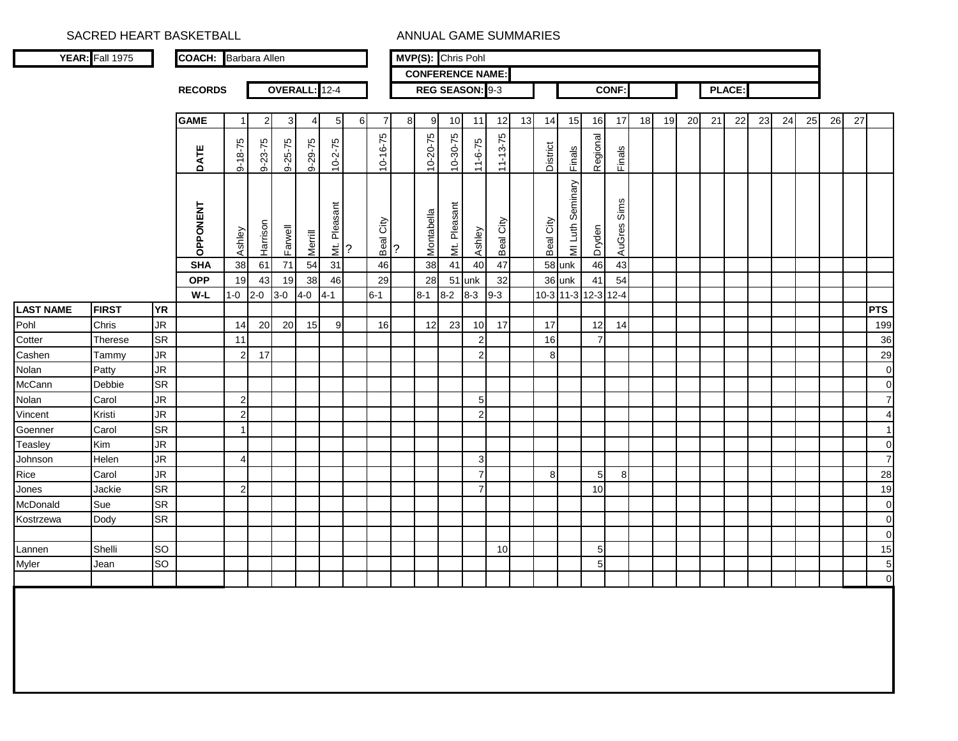SACRED HEART BASKETBALL **ANNUAL GAME SUMMARIES** 

|                  | YEAR: Fall 1975 |                        | <b>COACH:</b> Barbara Allen |                  |               |         |               |          |   |                |                         | MVP(S): Chris Pohl |              |                  |                |    |           |                     |                |              |    |    |    |    |        |    |    |    |    |    |                               |
|------------------|-----------------|------------------------|-----------------------------|------------------|---------------|---------|---------------|----------|---|----------------|-------------------------|--------------------|--------------|------------------|----------------|----|-----------|---------------------|----------------|--------------|----|----|----|----|--------|----|----|----|----|----|-------------------------------|
|                  |                 |                        |                             |                  |               |         |               |          |   |                | <b>CONFERENCE NAME:</b> |                    |              |                  |                |    |           |                     |                |              |    |    |    |    |        |    |    |    |    |    |                               |
|                  |                 |                        | <b>RECORDS</b>              |                  |               |         | OVERALL: 12-4 |          |   |                |                         | REG SEASON: 9-3    |              |                  |                |    |           |                     |                | <b>CONF:</b> |    |    |    |    | PLACE: |    |    |    |    |    |                               |
|                  |                 |                        |                             |                  |               |         |               |          |   |                |                         |                    |              |                  |                |    |           |                     |                |              |    |    |    |    |        |    |    |    |    |    |                               |
|                  |                 |                        | <b>GAME</b>                 | -1               | 2             | 3       | 4             | 5        | 6 | 7              | 8                       | 9                  | 10           | 11               | 12             | 13 | 14        | 15                  | 16             | 17           | 18 | 19 | 20 | 21 | 22     | 23 | 24 | 25 | 26 | 27 |                               |
|                  |                 |                        |                             |                  |               |         |               |          |   |                |                         | $10 - 20 - 75$     | 10-30-75     |                  | $11 - 13 - 75$ |    |           |                     | Regional       |              |    |    |    |    |        |    |    |    |    |    |                               |
|                  |                 |                        | DATE                        | $9 - 18 - 75$    | $9 - 23 - 75$ | 9-25-75 | 9-29-75       | 10-2-75  |   | $10 - 16 - 75$ |                         |                    |              | $11 - 6 - 75$    |                |    | District  | <b>Finals</b>       |                | Finals       |    |    |    |    |        |    |    |    |    |    |                               |
|                  |                 |                        |                             |                  |               |         |               |          |   |                |                         |                    |              |                  |                |    |           |                     |                |              |    |    |    |    |        |    |    |    |    |    |                               |
|                  |                 |                        |                             |                  |               |         |               | Pleasant |   |                |                         |                    |              |                  |                |    |           | MI Luth Seminary    |                |              |    |    |    |    |        |    |    |    |    |    |                               |
|                  |                 |                        | OPPONENT                    | Ashley           | Harrison      | Farwell | Merrill       | $\leq$ ? |   | Beal City      | ?                       | Montabella         | Mt. Pleasant | Ashley           | Beal City      |    | Beal City |                     | Dryden         | AuGres Sims  |    |    |    |    |        |    |    |    |    |    |                               |
|                  |                 |                        | <b>SHA</b>                  | 38               | 61            | $71$    | 54            | 31       |   | 46             |                         | 38                 | 41           | 40               | 47             |    |           | 58 unk              | 46             | 43           |    |    |    |    |        |    |    |    |    |    |                               |
|                  |                 |                        | <b>OPP</b>                  | 19               | 43            | 19      | 38            | 46       |   | 29             |                         | 28                 |              | 51 unk           | 32             |    |           | 36 unk              | 41             | 54           |    |    |    |    |        |    |    |    |    |    |                               |
|                  |                 |                        | W-L                         | $1-0$            | $2 - 0$       | $3-0$   | $4 - 0$       | 4-1      |   | $6 - 1$        |                         | $8 - 1$            | $8 - 2$      | $8 - 3$          | $9 - 3$        |    |           | 10-3 11-3 12-3 12-4 |                |              |    |    |    |    |        |    |    |    |    |    |                               |
| <b>LAST NAME</b> | <b>FIRST</b>    | <b>YR</b>              |                             |                  |               |         |               |          |   |                |                         |                    |              |                  |                |    |           |                     |                |              |    |    |    |    |        |    |    |    |    |    | PTS                           |
| Pohl             | Chris           | JR                     |                             | 14               | 20            | 20      | 15            | 9        |   | 16             |                         | 12                 | 23           | 10               | 17             |    | 17        |                     | 12             | 14           |    |    |    |    |        |    |    |    |    |    | 199                           |
| Cotter           | Therese         | <b>SR</b>              |                             | 11               |               |         |               |          |   |                |                         |                    |              | $\boldsymbol{2}$ |                |    | 16        |                     | $\overline{7}$ |              |    |    |    |    |        |    |    |    |    |    | 36                            |
| Cashen           | Tammy           | <b>JR</b>              |                             | $\boldsymbol{2}$ | 17            |         |               |          |   |                |                         |                    |              | $\overline{2}$   |                |    | 8         |                     |                |              |    |    |    |    |        |    |    |    |    |    | 29                            |
| Nolan            | Patty           | <b>JR</b>              |                             |                  |               |         |               |          |   |                |                         |                    |              |                  |                |    |           |                     |                |              |    |    |    |    |        |    |    |    |    |    | $\mathbf 0$                   |
| McCann           | Debbie          | <b>SR</b>              |                             |                  |               |         |               |          |   |                |                         |                    |              |                  |                |    |           |                     |                |              |    |    |    |    |        |    |    |    |    |    | $\mathbf 0$                   |
| Nolan            | Carol           | $\mathsf{J}\mathsf{R}$ |                             | $\boldsymbol{2}$ |               |         |               |          |   |                |                         |                    |              | 5                |                |    |           |                     |                |              |    |    |    |    |        |    |    |    |    |    | $\overline{7}$                |
| Vincent          | Kristi          | <b>JR</b>              |                             | $\overline{2}$   |               |         |               |          |   |                |                         |                    |              | $\overline{2}$   |                |    |           |                     |                |              |    |    |    |    |        |    |    |    |    |    | $\overline{4}$                |
| Goenner          | Carol           | SR                     |                             | $\mathbf 1$      |               |         |               |          |   |                |                         |                    |              |                  |                |    |           |                     |                |              |    |    |    |    |        |    |    |    |    |    |                               |
| Teasley          | Kim             | <b>JR</b>              |                             |                  |               |         |               |          |   |                |                         |                    |              |                  |                |    |           |                     |                |              |    |    |    |    |        |    |    |    |    |    | $\mathbf 0$                   |
| Johnson          | Helen           | JR                     |                             | 4                |               |         |               |          |   |                |                         |                    |              | 3                |                |    |           |                     |                |              |    |    |    |    |        |    |    |    |    |    | $\overline{7}$                |
| Rice             | Carol           | <b>JR</b>              |                             |                  |               |         |               |          |   |                |                         |                    |              | $\overline{7}$   |                |    | 8         |                     | 5              | 8            |    |    |    |    |        |    |    |    |    |    | 28                            |
| Jones            | Jackie          | <b>SR</b>              |                             | $\boldsymbol{2}$ |               |         |               |          |   |                |                         |                    |              | $\overline{7}$   |                |    |           |                     | 10             |              |    |    |    |    |        |    |    |    |    |    | 19                            |
| McDonald         | Sue             | <b>SR</b><br><b>SR</b> |                             |                  |               |         |               |          |   |                |                         |                    |              |                  |                |    |           |                     |                |              |    |    |    |    |        |    |    |    |    |    | $\mathbf 0$                   |
| Kostrzewa        | Dody            |                        |                             |                  |               |         |               |          |   |                |                         |                    |              |                  |                |    |           |                     |                |              |    |    |    |    |        |    |    |    |    |    | $\boldsymbol{0}$<br>$\pmb{0}$ |
| Lannen           | Shelli          | SO                     |                             |                  |               |         |               |          |   |                |                         |                    |              |                  | 10             |    |           |                     | 5 <sub>5</sub> |              |    |    |    |    |        |    |    |    |    |    | 15                            |
| Myler            | Jean            | SO                     |                             |                  |               |         |               |          |   |                |                         |                    |              |                  |                |    |           |                     | 5 <sub>5</sub> |              |    |    |    |    |        |    |    |    |    |    | $\overline{5}$                |
|                  |                 |                        |                             |                  |               |         |               |          |   |                |                         |                    |              |                  |                |    |           |                     |                |              |    |    |    |    |        |    |    |    |    |    | $\pmb{0}$                     |
|                  |                 |                        |                             |                  |               |         |               |          |   |                |                         |                    |              |                  |                |    |           |                     |                |              |    |    |    |    |        |    |    |    |    |    |                               |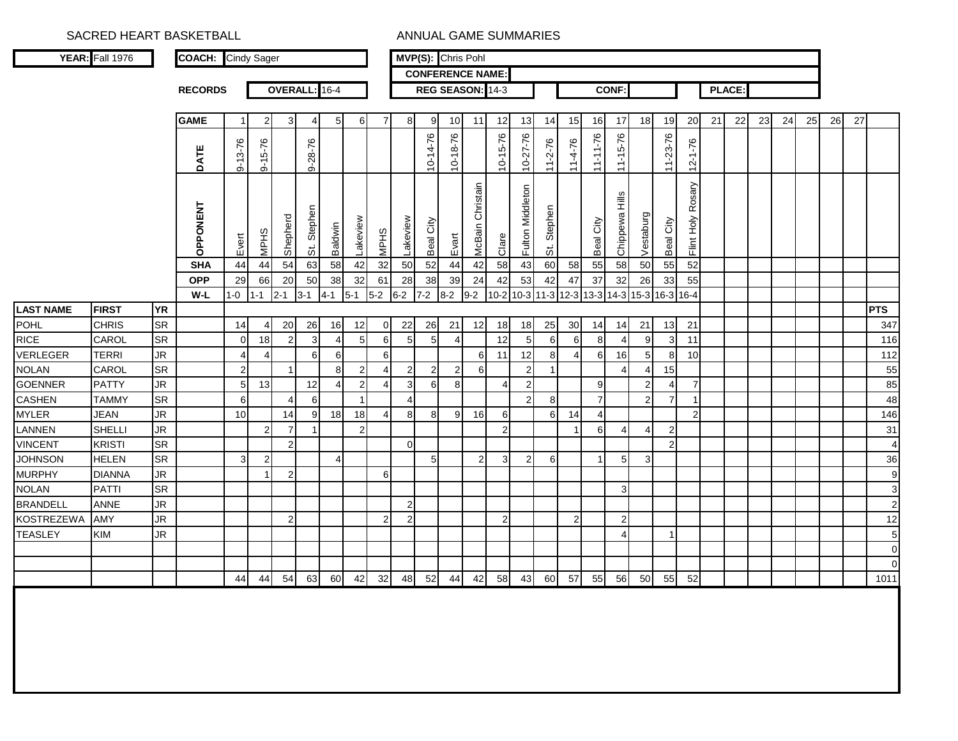## SACRED HEART BASKETBALL ANNUAL GAME SUMMARIES

|                   | YEAR: Fall 1976 |           | <b>COACH:</b> Cindy Sager |               |                |                |               |                |                |                |                |                |                | MVP(S): Chris Pohl         |                       |                  |                                    |                                              |                |                |                |                       |                      |    |               |    |    |    |    |    |                |
|-------------------|-----------------|-----------|---------------------------|---------------|----------------|----------------|---------------|----------------|----------------|----------------|----------------|----------------|----------------|----------------------------|-----------------------|------------------|------------------------------------|----------------------------------------------|----------------|----------------|----------------|-----------------------|----------------------|----|---------------|----|----|----|----|----|----------------|
|                   |                 |           |                           |               |                |                |               |                |                |                |                |                |                | <b>CONFERENCE NAME:</b>    |                       |                  |                                    |                                              |                |                |                |                       |                      |    |               |    |    |    |    |    |                |
|                   |                 |           | <b>RECORDS</b>            |               |                |                | OVERALL: 16-4 |                |                |                |                |                |                | REG SEASON: 14-3           |                       |                  |                                    |                                              |                | <b>CONF:</b>   |                |                       |                      |    | <b>PLACE:</b> |    |    |    |    |    |                |
|                   |                 |           | <b>GAME</b>               | $\mathbf 1$   | 2              | 3              | 4             | 5              | 6              | $\overline{7}$ | 8              | 9              | 10             | 11                         | 12                    | 13               | 14                                 | 15                                           | 16             | 17             | 18             | 19                    | 20                   | 21 | 22            | 23 | 24 | 25 | 26 | 27 |                |
|                   |                 |           |                           |               |                |                |               |                |                |                |                |                |                |                            |                       |                  |                                    |                                              |                |                |                |                       |                      |    |               |    |    |    |    |    |                |
|                   |                 |           | DATE                      | $9 - 13 - 76$ | $9 - 15 - 76$  |                | $9 - 28 - 76$ |                |                |                |                | 10-14-76       | 10-18-76       |                            | $10 - 15 - 76$        | 10-27-76         | $11 - 2 - 76$                      | $11-4-76$                                    | $11 - 11 - 76$ | $11 - 15 - 76$ |                | 11-23-76              | $12 - 1 - 76$        |    |               |    |    |    |    |    |                |
|                   |                 |           | OPPONENT                  | Evert         | <b>MPHS</b>    | Shepherd       | St. Stephen   | Baldwin        | Lakeview       | <b>MPHS</b>    | Lakeview       | Beal City      | Evart          | Christain<br><b>McBain</b> | Clare                 | Fulton Middleton | Stephen<br>$\ddot{\tilde{\sigma}}$ |                                              | Beal City      | Chippewa Hills | Vestaburg      | Beal City             | Rosary<br>Flint Holy |    |               |    |    |    |    |    |                |
|                   |                 |           | <b>SHA</b>                | 44            | 44             | 54             | 63            | 58             | 42             | 32             | 50             | 52             | 44             | 42                         | 58                    | 43               | 60                                 | 58                                           | 55             | 58             | 50             | 55                    | 52                   |    |               |    |    |    |    |    |                |
|                   |                 |           | <b>OPP</b>                | 29            | 66             | 20             | 50            | 38             | 32             | 61             | 28             | 38             | 39             | 24                         | 42                    | 53               | 42                                 | 47                                           | 37             | 32             | 26             | 33                    | 55                   |    |               |    |    |    |    |    |                |
|                   |                 |           | W-L                       | $1 - 0$       | $1 - 1$        | $2 - 1$        | $3-1$         | $4 - 1$        | $5 - 1$        | $5-2$          | $6-2$          | $7 - 2$        | $8 - 2$        | $9 - 2$                    |                       |                  |                                    | 10-2 10-3 11-3 12-3 13-3 14-3 15-3 16-3 16-4 |                |                |                |                       |                      |    |               |    |    |    |    |    |                |
| <b>LAST NAME</b>  | <b>FIRST</b>    | <b>YR</b> |                           |               |                |                |               |                |                |                |                |                |                |                            |                       |                  |                                    |                                              |                |                |                |                       |                      |    |               |    |    |    |    |    | <b>PTS</b>     |
| <b>POHL</b>       | <b>CHRIS</b>    | <b>SR</b> |                           | 14            | 4              | 20             | 26            | 16             | 12             | 0              | 22             | 26             | 21             | 12                         | 18                    | 18               | 25                                 | 30                                           | 14             | 14             | 21             | 13                    | 21                   |    |               |    |    |    |    |    | 347            |
| <b>RICE</b>       | CAROL           | <b>SR</b> |                           | $\mathbf 0$   | 18             | $\overline{2}$ | 3             | $\overline{4}$ | 5              | 6              | 5              | 5              | $\overline{4}$ |                            | 12                    | 5                | 6                                  | 6                                            | Я              | $\overline{4}$ | 9              | 3                     | 11                   |    |               |    |    |    |    |    | 116            |
| VERLEGER          | <b>TERRI</b>    | JR        |                           | 4             | $\overline{4}$ |                | 6             | 6              |                | $\,6\,$        |                |                |                | 6                          | 11                    | 12               | 8                                  | $\overline{4}$                               | 6              | 16             | 5 <sub>5</sub> | 8                     | 10                   |    |               |    |    |    |    |    | 112            |
| <b>NOLAN</b>      | CAROL           | <b>SR</b> |                           | $\mathbf 2$   |                | $\mathbf 1$    |               | 8              | $\overline{2}$ | $\overline{4}$ | $\overline{2}$ | $\overline{2}$ | $\overline{2}$ | 6                          |                       | $\overline{2}$   | $\overline{1}$                     |                                              |                | $\overline{4}$ | 4              | 15                    |                      |    |               |    |    |    |    |    | 55             |
| <b>GOENNER</b>    | <b>PATTY</b>    | JR        |                           | $\mathbf 5$   | 13             |                | 12            | $\overline{4}$ | $\overline{2}$ | $\overline{4}$ | 3              | 6              | 8              |                            | $\boldsymbol{\Delta}$ | $\overline{2}$   |                                    |                                              | 9              |                | $\overline{2}$ | $\boldsymbol{\Delta}$ | $\overline{7}$       |    |               |    |    |    |    |    | 85             |
| <b>CASHEN</b>     | <b>TAMMY</b>    | <b>SR</b> |                           | 6             |                | $\overline{4}$ | 6             |                | $\overline{1}$ |                | $\overline{4}$ |                |                |                            |                       | $\overline{2}$   | 8                                  |                                              | $\overline{7}$ |                | 2              | $\overline{7}$        | $\mathbf{1}$         |    |               |    |    |    |    |    | 48             |
| <b>MYLER</b>      | <b>JEAN</b>     | <b>JR</b> |                           | 10            |                | 14             | 9             | 18             | 18             | $\overline{4}$ | 8              | 8              | 9              | 16                         | 6                     |                  | 6                                  | 14                                           | $\Delta$       |                |                |                       | $\overline{2}$       |    |               |    |    |    |    |    | 146            |
| LANNEN            | <b>SHELLI</b>   | JR        |                           |               | $\overline{2}$ | $\overline{7}$ | $\mathbf{1}$  |                | $\overline{2}$ |                |                |                |                |                            | $\overline{2}$        |                  |                                    | $\overline{1}$                               | 6              | $\overline{4}$ | 4              | $\overline{2}$        |                      |    |               |    |    |    |    |    | 31             |
| <b>VINCENT</b>    | <b>KRISTI</b>   | <b>SR</b> |                           |               |                | $\overline{2}$ |               |                |                |                | $\Omega$       |                |                |                            |                       |                  |                                    |                                              |                |                |                | $\overline{2}$        |                      |    |               |    |    |    |    |    | $\overline{4}$ |
| <b>JOHNSON</b>    | <b>HELEN</b>    | SR        |                           | 3             | $\overline{2}$ |                |               | $\overline{4}$ |                |                |                | 5              |                | $\overline{2}$             | 3                     | $\overline{2}$   | 6                                  |                                              | -1             | 5              | $\mathbf{3}$   |                       |                      |    |               |    |    |    |    |    | 36             |
| <b>MURPHY</b>     | <b>DIANNA</b>   | JR        |                           |               | $\overline{1}$ | $\overline{2}$ |               |                |                | 6              |                |                |                |                            |                       |                  |                                    |                                              |                |                |                |                       |                      |    |               |    |    |    |    |    | g              |
| <b>NOLAN</b>      | <b>PATTI</b>    | <b>SR</b> |                           |               |                |                |               |                |                |                |                |                |                |                            |                       |                  |                                    |                                              |                | 3              |                |                       |                      |    |               |    |    |    |    |    | 3              |
| <b>BRANDELL</b>   | <b>ANNE</b>     | JR        |                           |               |                |                |               |                |                |                | $\overline{2}$ |                |                |                            |                       |                  |                                    |                                              |                |                |                |                       |                      |    |               |    |    |    |    |    | $\overline{2}$ |
| <b>KOSTREZEWA</b> | <b>AMY</b>      | JR        |                           |               |                | $\overline{2}$ |               |                |                | $\overline{2}$ | $\overline{2}$ |                |                |                            | $\overline{2}$        |                  |                                    | $\overline{2}$                               |                | $\overline{2}$ |                |                       |                      |    |               |    |    |    |    |    | 12             |
| <b>TEASLEY</b>    | <b>KIM</b>      | JR        |                           |               |                |                |               |                |                |                |                |                |                |                            |                       |                  |                                    |                                              |                | 4              |                | -1                    |                      |    |               |    |    |    |    |    | 5              |
|                   |                 |           |                           |               |                |                |               |                |                |                |                |                |                |                            |                       |                  |                                    |                                              |                |                |                |                       |                      |    |               |    |    |    |    |    | $\mathbf C$    |
|                   |                 |           |                           |               |                |                |               |                |                |                |                |                |                |                            |                       |                  |                                    |                                              |                |                |                |                       |                      |    |               |    |    |    |    |    | $\Omega$       |
|                   |                 |           |                           | 44            | 44             | 54             | 63            | 60             | 42             | 32             | 48             | 52             | 44             | 42                         | 58                    | 43               | 60                                 | 57                                           | 55             | 56             | 50             | 55                    | 52                   |    |               |    |    |    |    |    | 1011           |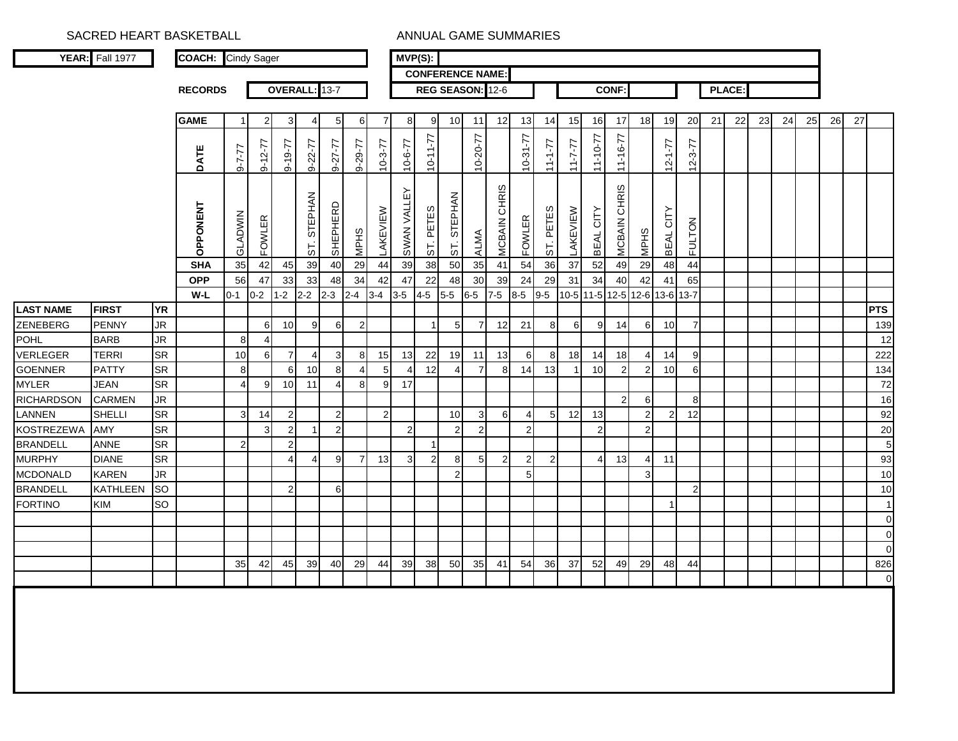SACRED HEART BASKETBALL **ANNUAL GAME SUMMARIES** 

|                   | <b>YEAR:</b> Fall 1977 |           | <b>COACH:</b>  | <b>Cindy Sager</b> |               |                 |                |                |                |                | $MVP(S)$ :     |                |                |                         |                |                |                |               |                |                |                |                 |                |    |               |    |    |    |    |    |                    |
|-------------------|------------------------|-----------|----------------|--------------------|---------------|-----------------|----------------|----------------|----------------|----------------|----------------|----------------|----------------|-------------------------|----------------|----------------|----------------|---------------|----------------|----------------|----------------|-----------------|----------------|----|---------------|----|----|----|----|----|--------------------|
|                   |                        |           |                |                    |               |                 |                |                |                |                |                |                |                | <b>CONFERENCE NAME:</b> |                |                |                |               |                |                |                |                 |                |    |               |    |    |    |    |    |                    |
|                   |                        |           | <b>RECORDS</b> |                    |               |                 | OVERALL: 13-7  |                |                |                |                |                |                | REG SEASON: 12-6        |                |                |                |               |                | <b>CONF:</b>   |                |                 |                |    | <b>PLACE:</b> |    |    |    |    |    |                    |
|                   |                        |           |                |                    |               |                 |                |                |                |                |                |                |                |                         |                |                |                |               |                |                |                |                 |                |    |               |    |    |    |    |    |                    |
|                   |                        |           | <b>GAME</b>    | -1                 | $\mathbf{2}$  | 3               | 4              | 5              | 6              | 7              | 8              | 9              | 10             | 11                      | 12             | 13             | 14             | 15            | 16             | 17             | 18             | 19              | 20             | 21 | 22            | 23 | 24 | 25 | 26 | 27 |                    |
|                   |                        |           |                |                    |               |                 |                |                |                |                |                |                |                |                         |                |                |                |               |                |                |                |                 |                |    |               |    |    |    |    |    |                    |
|                   |                        |           | DATE           | $11 - 7 - 6$       | $9 - 12 - 77$ | 9-19-77         | $9 - 22 - 77$  | 9-27-77        | 0-29-77        | $10 - 3 - 77$  | $17 - 6 - 77$  | $10 - 11 - 77$ |                | $10 - 20 - 77$          |                | $10-31-77$     | $22 - 11$      | $17 - 7 - 11$ | $11 - 10 - 77$ | $11 - 16 - 77$ |                | $12 - 1 - 77$   | $12 - 3 - 77$  |    |               |    |    |    |    |    |                    |
|                   |                        |           |                |                    |               |                 |                |                |                |                |                |                |                |                         |                |                |                |               |                |                |                |                 |                |    |               |    |    |    |    |    |                    |
|                   |                        |           |                |                    |               |                 |                |                |                |                |                |                |                |                         | MCBAIN CHRIS   |                |                |               |                | MCBAIN CHRIS   |                |                 |                |    |               |    |    |    |    |    |                    |
|                   |                        |           | OPPONENT       |                    |               |                 | STEPHAN        | SHEPHERD       |                |                | SWAN VALLEY    |                | ST. STEPHAN    |                         |                |                |                |               |                |                |                | CITY            |                |    |               |    |    |    |    |    |                    |
|                   |                        |           |                |                    |               |                 |                |                |                |                |                |                |                |                         |                |                |                |               |                |                |                |                 |                |    |               |    |    |    |    |    |                    |
|                   |                        |           |                | GLADWIN            | <b>FOWLER</b> |                 | 57             |                | <b>MPHS</b>    | LAKEVIEW       |                | ST. PETES      |                | ALMA                    |                | <b>FOWLER</b>  | ST. PETES      | LAKEVIEW      | BEAL CITY      |                | <b>MPHS</b>    | <b>BEAL</b>     | <b>FULTON</b>  |    |               |    |    |    |    |    |                    |
|                   |                        |           | <b>SHA</b>     | 35                 | 42            | 45              | 39             | 40             | 29             | 44             | 39             | 38             | 50             | 35                      | 41             | 54             | 36             | 37            | 52             | 49             | 29             | 48              | 44             |    |               |    |    |    |    |    |                    |
|                   |                        |           | <b>OPP</b>     | 56                 | 47            | 33              | 33             | 48             | 34             | 42             | 47             | 22             | 48             | 30                      | 39             | 24             | 29             | 31            | 34             | 40             | 42             | 41              | 65             |    |               |    |    |    |    |    |                    |
|                   |                        |           | W-L            | $0 - 1$            | $0 - 2$       | $1 - 2$         | $2 - 2$        | $2 - 3$        | $2 - 4$        | $3-4$          | $3-5$          | $4 - 5$        | $5-5$          | $6-5$                   | $7-5$          | $8-5$          | $9-5$          |               | 10-5 11-5 12-5 |                | 12-6 13-6 13-7 |                 |                |    |               |    |    |    |    |    |                    |
| <b>LAST NAME</b>  | <b>FIRST</b>           | <b>YR</b> |                |                    |               |                 |                |                |                |                |                |                |                |                         |                |                |                |               |                |                |                |                 |                |    |               |    |    |    |    |    | <b>PTS</b>         |
| ZENEBERG          | <b>PENNY</b>           | <b>JR</b> |                |                    | $6 \mid$      | 10 <sup>1</sup> | 9              | 6              | $\overline{2}$ |                |                |                | 5              | $\overline{7}$          | 12             | 21             | 8              | 6             | 9              | 14             | $6 \mid$       | 10 <sup>1</sup> | 7              |    |               |    |    |    |    |    | 139                |
| POHL              | <b>BARB</b>            | <b>JR</b> |                | 8                  | 4             |                 |                |                |                |                |                |                |                |                         |                |                |                |               |                |                |                |                 |                |    |               |    |    |    |    |    | 12                 |
| VERLEGER          | <b>TERRI</b>           | <b>SR</b> |                | 10                 | 6             | $\overline{7}$  | $\overline{4}$ | $\mathbf{3}$   | 8              | 15             | 13             | 22             | 19             | 11                      | 13             | 6              | 8              | 18            | 14             | 18             | 4              | 14              | 9              |    |               |    |    |    |    |    | 222                |
| <b>GOENNER</b>    | <b>PATTY</b>           | <b>SR</b> |                | 8                  |               | 6               | 10             | 8              | $\overline{4}$ | $\overline{5}$ | $\overline{4}$ | 12             | $\overline{4}$ | $\overline{7}$          | 8              | 14             | 13             |               | 10             | $\overline{2}$ | $\overline{2}$ | 10 <sup>1</sup> | 6              |    |               |    |    |    |    |    | 134                |
| <b>MYLER</b>      | <b>JEAN</b>            | <b>SR</b> |                | $\overline{4}$     | 9             | 10 <sup>1</sup> | 11             | 4              | 8              | 9              | 17             |                |                |                         |                |                |                |               |                |                |                |                 |                |    |               |    |    |    |    |    | 72                 |
| <b>RICHARDSON</b> | <b>CARMEN</b>          | <b>JR</b> |                |                    |               |                 |                |                |                |                |                |                |                |                         |                |                |                |               |                | $\overline{2}$ | 6              |                 | 8              |    |               |    |    |    |    |    | 16                 |
| LANNEN            | SHELLI                 | <b>SR</b> |                | $\mathbf{3}$       | 14            | $\mathbf{2}$    |                | $\overline{2}$ |                | $\overline{2}$ |                |                | 10             | 3                       | 6              | 4              | 5              | 12            | 13             |                | $\overline{2}$ | 2               | 12             |    |               |    |    |    |    |    | 92                 |
| <b>KOSTREZEWA</b> | AMY                    | <b>SR</b> |                |                    | $\mathbf{3}$  | $\overline{2}$  |                | $\overline{2}$ |                |                | $\overline{2}$ |                | $\overline{2}$ | $\overline{2}$          |                | $\overline{2}$ |                |               | $\overline{2}$ |                | $\overline{2}$ |                 |                |    |               |    |    |    |    |    | 20                 |
| <b>BRANDELL</b>   | <b>ANNE</b>            | <b>SR</b> |                | $\overline{2}$     |               | $\overline{2}$  |                |                |                |                |                | 1              |                |                         |                |                |                |               |                |                |                |                 |                |    |               |    |    |    |    |    | 5                  |
| <b>MURPHY</b>     | <b>DIANE</b>           | <b>SR</b> |                |                    |               | $\overline{4}$  | 4              | 9              | $\overline{7}$ | 13             | 3              | $\overline{2}$ | 8              | 5                       | $\overline{2}$ | $\overline{2}$ | $\overline{2}$ |               | $\Delta$       | 13             | 4              | 11              |                |    |               |    |    |    |    |    | 93                 |
| <b>MCDONALD</b>   | <b>KAREN</b>           | <b>JR</b> |                |                    |               |                 |                |                |                |                |                |                | $\overline{2}$ |                         |                | 5              |                |               |                |                | 3              |                 |                |    |               |    |    |    |    |    | 10                 |
| <b>BRANDELL</b>   | <b>KATHLEEN</b>        | <b>SO</b> |                |                    |               | $\mathbf{2}$    |                | 6              |                |                |                |                |                |                         |                |                |                |               |                |                |                |                 | $\overline{2}$ |    |               |    |    |    |    |    | 10                 |
| <b>FORTINO</b>    | <b>KIM</b>             | <b>SO</b> |                |                    |               |                 |                |                |                |                |                |                |                |                         |                |                |                |               |                |                |                | -1              |                |    |               |    |    |    |    |    | $\overline{1}$     |
|                   |                        |           |                |                    |               |                 |                |                |                |                |                |                |                |                         |                |                |                |               |                |                |                |                 |                |    |               |    |    |    |    |    | $\overline{0}$     |
|                   |                        |           |                |                    |               |                 |                |                |                |                |                |                |                |                         |                |                |                |               |                |                |                |                 |                |    |               |    |    |    |    |    | $\mathbf 0$        |
|                   |                        |           |                | 35                 | 42            | 45              | 39             | 40             | 29             | 44             | 39             | 38             | 50             | 35                      | 41             | 54             | 36             | 37            | 52             | 49             | 29             | 48              | 44             |    |               |    |    |    |    |    | $\mathbf 0$<br>826 |
|                   |                        |           |                |                    |               |                 |                |                |                |                |                |                |                |                         |                |                |                |               |                |                |                |                 |                |    |               |    |    |    |    |    | $\mathbf 0$        |
|                   |                        |           |                |                    |               |                 |                |                |                |                |                |                |                |                         |                |                |                |               |                |                |                |                 |                |    |               |    |    |    |    |    |                    |
|                   |                        |           |                |                    |               |                 |                |                |                |                |                |                |                |                         |                |                |                |               |                |                |                |                 |                |    |               |    |    |    |    |    |                    |